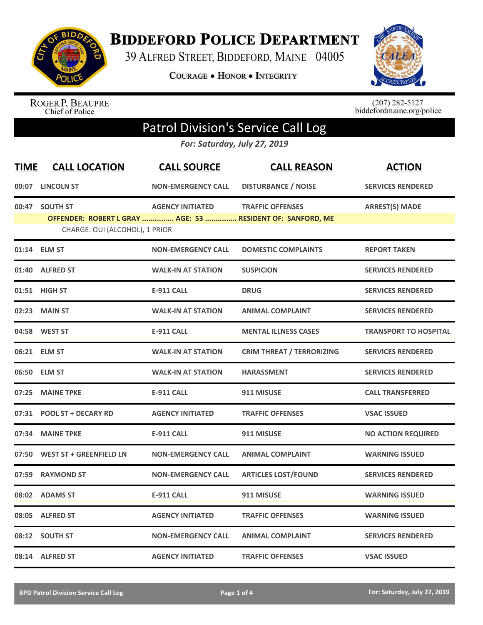

**BIDDEFORD POLICE DEPARTMENT** 

39 ALFRED STREET, BIDDEFORD, MAINE 04005

**COURAGE . HONOR . INTEGRITY** 



ROGER P. BEAUPRE<br>Chief of Police

 $(207)$  282-5127<br>biddefordmaine.org/police

## Patrol Division's Service Call Log

*For: Saturday, July 27, 2019*

| <b>TIME</b> | <b>CALL LOCATION</b>           | <b>CALL SOURCE</b>        | <b>CALL REASON</b>                                                                    | <b>ACTION</b>                |
|-------------|--------------------------------|---------------------------|---------------------------------------------------------------------------------------|------------------------------|
| 00:07       | <b>LINCOLN ST</b>              | <b>NON-EMERGENCY CALL</b> | <b>DISTURBANCE / NOISE</b>                                                            | <b>SERVICES RENDERED</b>     |
| 00:47       | <b>SOUTH ST</b>                | <b>AGENCY INITIATED</b>   | <b>TRAFFIC OFFENSES</b><br>OFFENDER: ROBERT L GRAY  AGE: 53  RESIDENT OF: SANFORD, ME | <b>ARREST(S) MADE</b>        |
|             | CHARGE: OUI (ALCOHOL), 1 PRIOR |                           |                                                                                       |                              |
|             | 01:14 ELM ST                   | <b>NON-EMERGENCY CALL</b> | <b>DOMESTIC COMPLAINTS</b>                                                            | <b>REPORT TAKEN</b>          |
| 01:40       | <b>ALFRED ST</b>               | <b>WALK-IN AT STATION</b> | <b>SUSPICION</b>                                                                      | <b>SERVICES RENDERED</b>     |
|             | 01:51 HIGH ST                  | <b>E-911 CALL</b>         | <b>DRUG</b>                                                                           | <b>SERVICES RENDERED</b>     |
| 02:23       | <b>MAIN ST</b>                 | <b>WALK-IN AT STATION</b> | <b>ANIMAL COMPLAINT</b>                                                               | <b>SERVICES RENDERED</b>     |
|             | 04:58 WEST ST                  | <b>E-911 CALL</b>         | <b>MENTAL ILLNESS CASES</b>                                                           | <b>TRANSPORT TO HOSPITAL</b> |
|             | 06:21 ELM ST                   | <b>WALK-IN AT STATION</b> | <b>CRIM THREAT / TERRORIZING</b>                                                      | <b>SERVICES RENDERED</b>     |
| 06:50       | <b>ELM ST</b>                  | <b>WALK-IN AT STATION</b> | <b>HARASSMENT</b>                                                                     | <b>SERVICES RENDERED</b>     |
| 07:25       | <b>MAINE TPKE</b>              | <b>E-911 CALL</b>         | 911 MISUSE                                                                            | <b>CALL TRANSFERRED</b>      |
|             | 07:31 POOL ST + DECARY RD      | <b>AGENCY INITIATED</b>   | <b>TRAFFIC OFFENSES</b>                                                               | <b>VSAC ISSUED</b>           |
| 07:34       | <b>MAINE TPKE</b>              | <b>E-911 CALL</b>         | 911 MISUSE                                                                            | <b>NO ACTION REQUIRED</b>    |
| 07:50       | <b>WEST ST + GREENFIELD LN</b> | <b>NON-EMERGENCY CALL</b> | <b>ANIMAL COMPLAINT</b>                                                               | <b>WARNING ISSUED</b>        |
| 07:59       | <b>RAYMOND ST</b>              | <b>NON-EMERGENCY CALL</b> | <b>ARTICLES LOST/FOUND</b>                                                            | <b>SERVICES RENDERED</b>     |
|             | 08:02 ADAMS ST                 | <b>E-911 CALL</b>         | 911 MISUSE                                                                            | <b>WARNING ISSUED</b>        |
| 08:05       | <b>ALFRED ST</b>               | <b>AGENCY INITIATED</b>   | <b>TRAFFIC OFFENSES</b>                                                               | <b>WARNING ISSUED</b>        |
|             | 08:12 SOUTH ST                 | <b>NON-EMERGENCY CALL</b> | <b>ANIMAL COMPLAINT</b>                                                               | <b>SERVICES RENDERED</b>     |
|             | 08:14 ALFRED ST                | <b>AGENCY INITIATED</b>   | <b>TRAFFIC OFFENSES</b>                                                               | <b>VSAC ISSUED</b>           |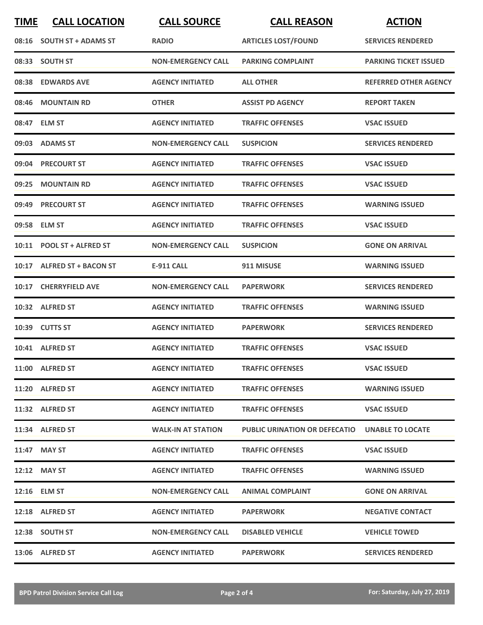| <b>TIME</b> | <b>CALL LOCATION</b>       | <b>CALL SOURCE</b>        | <b>CALL REASON</b>                   | <b>ACTION</b>                |
|-------------|----------------------------|---------------------------|--------------------------------------|------------------------------|
|             | 08:16 SOUTH ST + ADAMS ST  | <b>RADIO</b>              | <b>ARTICLES LOST/FOUND</b>           | <b>SERVICES RENDERED</b>     |
|             | 08:33 SOUTH ST             | <b>NON-EMERGENCY CALL</b> | <b>PARKING COMPLAINT</b>             | <b>PARKING TICKET ISSUED</b> |
|             | 08:38 EDWARDS AVE          | <b>AGENCY INITIATED</b>   | <b>ALL OTHER</b>                     | <b>REFERRED OTHER AGENCY</b> |
|             | 08:46 MOUNTAIN RD          | <b>OTHER</b>              | <b>ASSIST PD AGENCY</b>              | <b>REPORT TAKEN</b>          |
|             | 08:47 ELM ST               | <b>AGENCY INITIATED</b>   | <b>TRAFFIC OFFENSES</b>              | <b>VSAC ISSUED</b>           |
|             | 09:03 ADAMS ST             | <b>NON-EMERGENCY CALL</b> | <b>SUSPICION</b>                     | <b>SERVICES RENDERED</b>     |
|             | 09:04 PRECOURT ST          | <b>AGENCY INITIATED</b>   | <b>TRAFFIC OFFENSES</b>              | <b>VSAC ISSUED</b>           |
| 09:25       | <b>MOUNTAIN RD</b>         | <b>AGENCY INITIATED</b>   | <b>TRAFFIC OFFENSES</b>              | <b>VSAC ISSUED</b>           |
| 09:49       | <b>PRECOURT ST</b>         | <b>AGENCY INITIATED</b>   | <b>TRAFFIC OFFENSES</b>              | <b>WARNING ISSUED</b>        |
|             | 09:58 ELM ST               | <b>AGENCY INITIATED</b>   | <b>TRAFFIC OFFENSES</b>              | <b>VSAC ISSUED</b>           |
|             | 10:11 POOL ST + ALFRED ST  | <b>NON-EMERGENCY CALL</b> | <b>SUSPICION</b>                     | <b>GONE ON ARRIVAL</b>       |
|             | 10:17 ALFRED ST + BACON ST | <b>E-911 CALL</b>         | 911 MISUSE                           | <b>WARNING ISSUED</b>        |
|             | 10:17 CHERRYFIELD AVE      | <b>NON-EMERGENCY CALL</b> | <b>PAPERWORK</b>                     | <b>SERVICES RENDERED</b>     |
|             | 10:32 ALFRED ST            | <b>AGENCY INITIATED</b>   | <b>TRAFFIC OFFENSES</b>              | <b>WARNING ISSUED</b>        |
|             | 10:39 CUTTS ST             | <b>AGENCY INITIATED</b>   | <b>PAPERWORK</b>                     | <b>SERVICES RENDERED</b>     |
|             | 10:41 ALFRED ST            | <b>AGENCY INITIATED</b>   | <b>TRAFFIC OFFENSES</b>              | <b>VSAC ISSUED</b>           |
|             | 11:00 ALFRED ST            | <b>AGENCY INITIATED</b>   | <b>TRAFFIC OFFENSES</b>              | <b>VSAC ISSUED</b>           |
|             | 11:20 ALFRED ST            | <b>AGENCY INITIATED</b>   | <b>TRAFFIC OFFENSES</b>              | <b>WARNING ISSUED</b>        |
|             | 11:32 ALFRED ST            | <b>AGENCY INITIATED</b>   | <b>TRAFFIC OFFENSES</b>              | <b>VSAC ISSUED</b>           |
|             | 11:34 ALFRED ST            | <b>WALK-IN AT STATION</b> | <b>PUBLIC URINATION OR DEFECATIO</b> | <b>UNABLE TO LOCATE</b>      |
|             | 11:47 MAY ST               | <b>AGENCY INITIATED</b>   | <b>TRAFFIC OFFENSES</b>              | <b>VSAC ISSUED</b>           |
|             | 12:12 MAY ST               | <b>AGENCY INITIATED</b>   | <b>TRAFFIC OFFENSES</b>              | <b>WARNING ISSUED</b>        |
|             | 12:16 ELM ST               | <b>NON-EMERGENCY CALL</b> | <b>ANIMAL COMPLAINT</b>              | <b>GONE ON ARRIVAL</b>       |
|             | 12:18 ALFRED ST            | <b>AGENCY INITIATED</b>   | <b>PAPERWORK</b>                     | <b>NEGATIVE CONTACT</b>      |
|             | 12:38 SOUTH ST             | <b>NON-EMERGENCY CALL</b> | <b>DISABLED VEHICLE</b>              | <b>VEHICLE TOWED</b>         |
|             | 13:06 ALFRED ST            | <b>AGENCY INITIATED</b>   | <b>PAPERWORK</b>                     | <b>SERVICES RENDERED</b>     |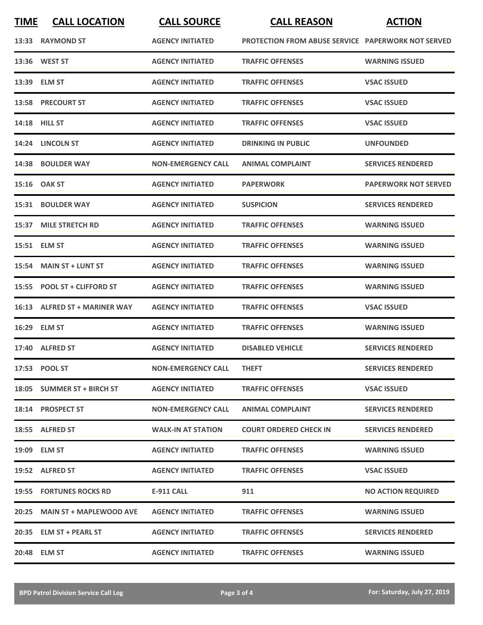| <u>TIME</u> | <b>CALL LOCATION</b>           | <b>CALL SOURCE</b>        | <b>CALL REASON</b>                                        | <b>ACTION</b>               |
|-------------|--------------------------------|---------------------------|-----------------------------------------------------------|-----------------------------|
|             | 13:33 RAYMOND ST               | <b>AGENCY INITIATED</b>   | <b>PROTECTION FROM ABUSE SERVICE PAPERWORK NOT SERVED</b> |                             |
|             | 13:36 WEST ST                  | <b>AGENCY INITIATED</b>   | <b>TRAFFIC OFFENSES</b>                                   | <b>WARNING ISSUED</b>       |
|             | 13:39 ELM ST                   | <b>AGENCY INITIATED</b>   | <b>TRAFFIC OFFENSES</b>                                   | <b>VSAC ISSUED</b>          |
|             | 13:58 PRECOURT ST              | <b>AGENCY INITIATED</b>   | <b>TRAFFIC OFFENSES</b>                                   | <b>VSAC ISSUED</b>          |
|             | 14:18 HILL ST                  | <b>AGENCY INITIATED</b>   | <b>TRAFFIC OFFENSES</b>                                   | <b>VSAC ISSUED</b>          |
|             | 14:24 LINCOLN ST               | <b>AGENCY INITIATED</b>   | <b>DRINKING IN PUBLIC</b>                                 | <b>UNFOUNDED</b>            |
| 14:38       | <b>BOULDER WAY</b>             | <b>NON-EMERGENCY CALL</b> | <b>ANIMAL COMPLAINT</b>                                   | <b>SERVICES RENDERED</b>    |
|             | 15:16 OAK ST                   | <b>AGENCY INITIATED</b>   | <b>PAPERWORK</b>                                          | <b>PAPERWORK NOT SERVED</b> |
| 15:31       | <b>BOULDER WAY</b>             | <b>AGENCY INITIATED</b>   | <b>SUSPICION</b>                                          | <b>SERVICES RENDERED</b>    |
| 15:37       | <b>MILE STRETCH RD</b>         | <b>AGENCY INITIATED</b>   | <b>TRAFFIC OFFENSES</b>                                   | <b>WARNING ISSUED</b>       |
| 15:51       | <b>ELM ST</b>                  | <b>AGENCY INITIATED</b>   | <b>TRAFFIC OFFENSES</b>                                   | <b>WARNING ISSUED</b>       |
| 15:54       | <b>MAIN ST + LUNT ST</b>       | <b>AGENCY INITIATED</b>   | <b>TRAFFIC OFFENSES</b>                                   | <b>WARNING ISSUED</b>       |
| 15:55       | <b>POOL ST + CLIFFORD ST</b>   | <b>AGENCY INITIATED</b>   | <b>TRAFFIC OFFENSES</b>                                   | <b>WARNING ISSUED</b>       |
| 16:13       | <b>ALFRED ST + MARINER WAY</b> | <b>AGENCY INITIATED</b>   | <b>TRAFFIC OFFENSES</b>                                   | <b>VSAC ISSUED</b>          |
| 16:29       | <b>ELM ST</b>                  | <b>AGENCY INITIATED</b>   | <b>TRAFFIC OFFENSES</b>                                   | <b>WARNING ISSUED</b>       |
| 17:40       | <b>ALFRED ST</b>               | <b>AGENCY INITIATED</b>   | <b>DISABLED VEHICLE</b>                                   | <b>SERVICES RENDERED</b>    |
|             | 17:53 POOL ST                  | <b>NON-EMERGENCY CALL</b> | <b>THEFT</b>                                              | <b>SERVICES RENDERED</b>    |
|             | 18:05 SUMMER ST + BIRCH ST     | <b>AGENCY INITIATED</b>   | <b>TRAFFIC OFFENSES</b>                                   | <b>VSAC ISSUED</b>          |
|             | 18:14 PROSPECT ST              | <b>NON-EMERGENCY CALL</b> | <b>ANIMAL COMPLAINT</b>                                   | <b>SERVICES RENDERED</b>    |
|             | 18:55 ALFRED ST                | <b>WALK-IN AT STATION</b> | <b>COURT ORDERED CHECK IN</b>                             | <b>SERVICES RENDERED</b>    |
|             | 19:09 ELM ST                   | <b>AGENCY INITIATED</b>   | <b>TRAFFIC OFFENSES</b>                                   | <b>WARNING ISSUED</b>       |
|             | 19:52 ALFRED ST                | <b>AGENCY INITIATED</b>   | <b>TRAFFIC OFFENSES</b>                                   | <b>VSAC ISSUED</b>          |
|             | 19:55 FORTUNES ROCKS RD        | <b>E-911 CALL</b>         | 911                                                       | <b>NO ACTION REQUIRED</b>   |
| 20:25       | <b>MAIN ST + MAPLEWOOD AVE</b> | <b>AGENCY INITIATED</b>   | <b>TRAFFIC OFFENSES</b>                                   | <b>WARNING ISSUED</b>       |
|             | 20:35 ELM ST + PEARL ST        | <b>AGENCY INITIATED</b>   | <b>TRAFFIC OFFENSES</b>                                   | <b>SERVICES RENDERED</b>    |
|             | 20:48 ELM ST                   | <b>AGENCY INITIATED</b>   | <b>TRAFFIC OFFENSES</b>                                   | <b>WARNING ISSUED</b>       |